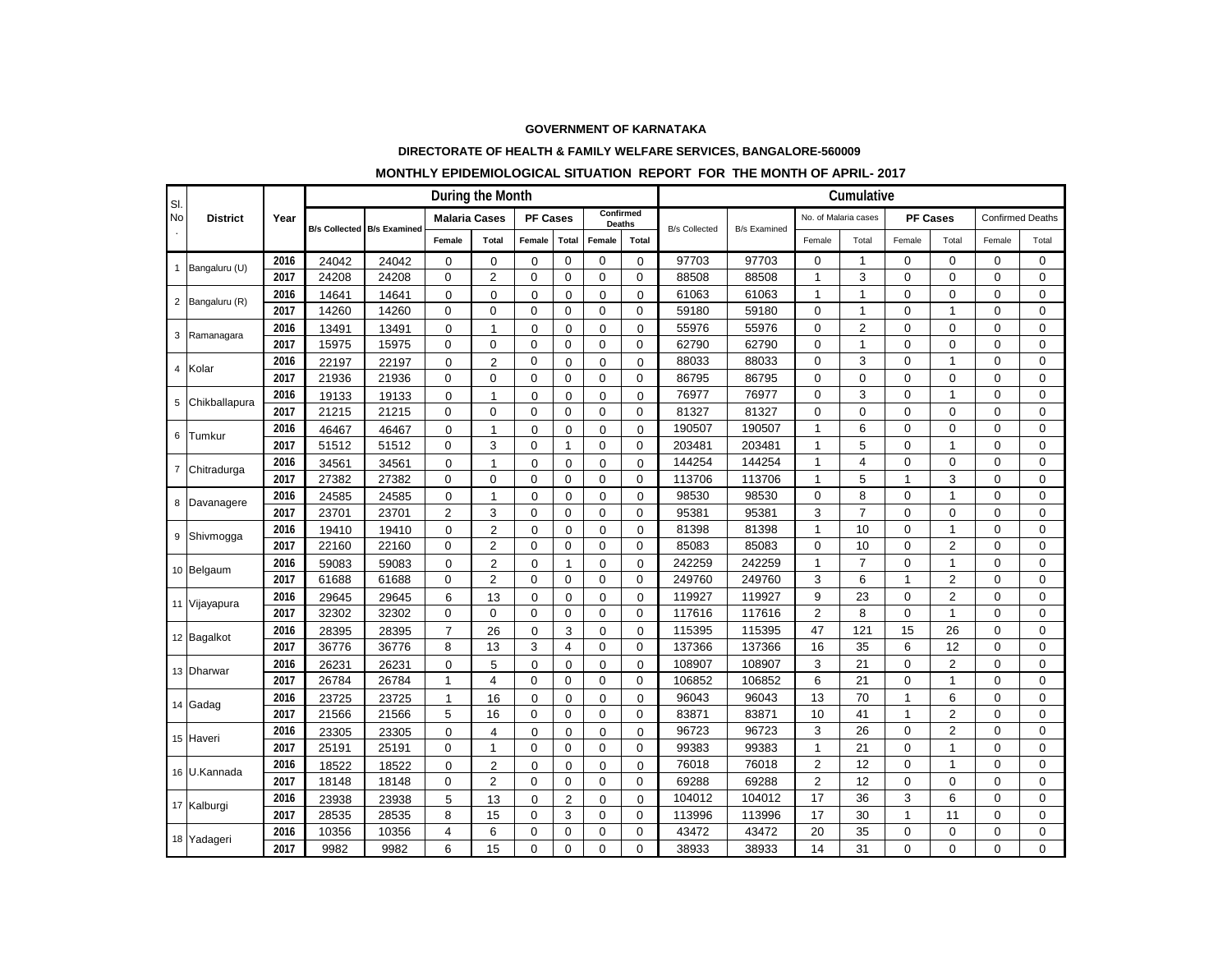## **GOVERNMENT OF KARNATAKA**

## **DIRECTORATE OF HEALTH & FAMILY WELFARE SERVICES, BANGALORE-560009**

## **MONTHLY EPIDEMIOLOGICAL SITUATION REPORT FOR THE MONTH OF APRIL- 2017**

| SI.<br><b>No</b> | <b>District</b> | Year | During the Month |                                   |                      |                |                 |                |                            |             | Cumulative           |                     |                      |                |                |                |                         |             |
|------------------|-----------------|------|------------------|-----------------------------------|----------------------|----------------|-----------------|----------------|----------------------------|-------------|----------------------|---------------------|----------------------|----------------|----------------|----------------|-------------------------|-------------|
|                  |                 |      |                  | <b>B/s Collected B/s Examined</b> | <b>Malaria Cases</b> |                | <b>PF Cases</b> |                | Confirmed<br><b>Deaths</b> |             | <b>B/s Collected</b> |                     | No. of Malaria cases |                | PF Cases       |                | <b>Confirmed Deaths</b> |             |
|                  |                 |      |                  |                                   | Female               | Total          | Female          | <b>Total</b>   | Female                     | Total       |                      | <b>B/s Examined</b> | Female               | Total          | Female         | Total          | Female                  | Total       |
|                  | 1 Bangaluru (U) | 2016 | 24042            | 24042                             | 0                    | 0              | $\mathbf 0$     | 0              | $\mathbf 0$                | $\mathbf 0$ | 97703                | 97703               | $\mathbf 0$          | $\mathbf 1$    | $\mathbf 0$    | $\mathbf 0$    | 0                       | $\Omega$    |
|                  |                 | 2017 | 24208            | 24208                             | $\mathbf 0$          | $\overline{2}$ | $\mathbf 0$     | $\mathbf 0$    | $\mathbf 0$                | $\mathbf 0$ | 88508                | 88508               | 1                    | 3              | $\mathbf 0$    | $\mathbf 0$    | 0                       | $\mathbf 0$ |
| $\overline{2}$   | Bangaluru (R)   | 2016 | 14641            | 14641                             | $\Omega$             | $\mathbf 0$    | $\mathbf 0$     | $\Omega$       | 0                          | $\Omega$    | 61063                | 61063               | $\mathbf{1}$         |                | $\overline{0}$ | 0              | $\Omega$                | 0           |
|                  |                 | 2017 | 14260            | 14260                             | $\Omega$             | $\mathbf 0$    | $\Omega$        | $\Omega$       | 0                          | $\Omega$    | 59180                | 59180               | 0                    | 1              | $\Omega$       | $\mathbf{1}$   | $\Omega$                | $\Omega$    |
| 3                | Ramanagara      | 2016 | 13491            | 13491                             | $\mathbf 0$          | $\mathbf{1}$   | $\mathbf 0$     | $\mathbf 0$    | $\mathbf 0$                | $\mathbf 0$ | 55976                | 55976               | 0                    | $\overline{2}$ | $\mathbf 0$    | 0              | 0                       | 0           |
|                  |                 | 2017 | 15975            | 15975                             | 0                    | 0              | 0               | $\mathbf 0$    | $\mathbf 0$                | $\mathbf 0$ | 62790                | 62790               | 0                    | 1              | $\overline{0}$ | 0              | 0                       | 0           |
|                  | 4 Kolar         | 2016 | 22197            | 22197                             | $\Omega$             | $\overline{2}$ | 0               | $\Omega$       | $\mathbf 0$                | $\Omega$    | 88033                | 88033               | 0                    | 3              | $\Omega$       | 1              | $\Omega$                | $\Omega$    |
|                  |                 | 2017 | 21936            | 21936                             | $\mathbf 0$          | $\mathbf 0$    | $\Omega$        | 0              | 0                          | 0           | 86795                | 86795               | $\mathbf 0$          | 0              | $\Omega$       | $\Omega$       | $\Omega$                | $\Omega$    |
| 5                | Chikballapura   | 2016 | 19133            | 19133                             | 0                    | $\mathbf{1}$   | $\mathbf 0$     | 0              | 0                          | 0           | 76977                | 76977               | $\mathbf 0$          | 3              | $\Omega$       | 1              | $\Omega$                | $\Omega$    |
|                  |                 | 2017 | 21215            | 21215                             | $\mathbf 0$          | $\mathbf 0$    | 0               | $\mathbf 0$    | $\mathbf 0$                | $\mathbf 0$ | 81327                | 81327               | 0                    | 0              | $\Omega$       | $\Omega$       | 0                       | $\mathbf 0$ |
| 6                | Tumkur          | 2016 | 46467            | 46467                             | $\Omega$             | $\mathbf{1}$   | $\Omega$        | $\Omega$       | $\Omega$                   | $\Omega$    | 190507               | 190507              | $\mathbf{1}$         | 6              | $\overline{0}$ | 0              | 0                       | $\mathbf 0$ |
|                  |                 | 2017 | 51512            | 51512                             | $\Omega$             | 3              | $\Omega$        | 1              | $\mathbf 0$                | $\Omega$    | 203481               | 203481              | $\mathbf{1}$         | 5              | $\Omega$       | 1              | $\Omega$                | $\Omega$    |
|                  | 7 Chitradurga   | 2016 | 34561            | 34561                             | 0                    | $\mathbf{1}$   | $\mathbf 0$     | 0              | 0                          | $\Omega$    | 144254               | 144254              | 1                    | 4              | $\Omega$       | 0              | 0                       | $\mathbf 0$ |
|                  |                 | 2017 | 27382            | 27382                             | 0                    | 0              | $\mathbf 0$     | $\mathbf 0$    | $\mathbf 0$                | $\mathbf 0$ | 113706               | 113706              | 1                    | 5              | 1              | 3              | 0                       | $\mathbf 0$ |
|                  | 8 Davanagere    | 2016 | 24585            | 24585                             | $\mathbf 0$          | $\mathbf{1}$   | $\mathbf 0$     | $\mathbf 0$    | $\mathbf 0$                | $\mathbf 0$ | 98530                | 98530               | 0                    | 8              | $\overline{0}$ | 1              | 0                       | 0           |
|                  |                 | 2017 | 23701            | 23701                             | $\overline{2}$       | 3              | $\Omega$        | 0              | 0                          | 0           | 95381                | 95381               | 3                    | $\overline{7}$ | $\Omega$       | $\Omega$       | $\Omega$                | $\Omega$    |
| 9                | Shivmogga       | 2016 | 19410            | 19410                             | 0                    | 2              | $\mathbf 0$     | 0              | 0                          | $\Omega$    | 81398                | 81398               | 1                    | 10             | $\Omega$       | 1              | $\Omega$                | $\Omega$    |
|                  |                 | 2017 | 22160            | 22160                             | 0                    | $\overline{2}$ | $\Omega$        | 0              | 0                          | $\Omega$    | 85083                | 85083               | 0                    | 10             | $\mathbf 0$    | $\overline{2}$ | 0                       | 0           |
|                  | 10 Belgaum      | 2016 | 59083            | 59083                             | $\Omega$             | $\sqrt{2}$     | $\mathbf 0$     | $\mathbf{1}$   | $\mathbf 0$                | $\Omega$    | 242259               | 242259              | $\mathbf{1}$         | 7              | $\overline{0}$ | 1              | 0                       | 0           |
|                  |                 | 2017 | 61688            | 61688                             | 0                    | $\overline{2}$ | 0               | 0              | 0                          | 0           | 249760               | 249760              | 3                    | 6              | 1              | $\overline{2}$ | 0                       | 0           |
|                  | 11 Vijayapura   | 2016 | 29645            | 29645                             | 6                    | 13             | $\mathbf 0$     | $\Omega$       | $\Omega$                   | $\Omega$    | 119927               | 119927              | 9                    | 23             | $\Omega$       | $\overline{2}$ | $\Omega$                | $\Omega$    |
|                  |                 | 2017 | 32302            | 32302                             | 0                    | 0              | $\mathbf 0$     | 0              | 0                          | 0           | 117616               | 117616              | $\overline{2}$       | 8              | $\mathbf 0$    | 1              | 0                       | 0           |
|                  | 12 Bagalkot     | 2016 | 28395            | 28395                             | $\overline{7}$       | 26             | $\mathbf 0$     | 3              | 0                          | $\Omega$    | 115395               | 115395              | 47                   | 121            | 15             | 26             | 0                       | $\Omega$    |
|                  |                 | 2017 | 36776            | 36776                             | 8                    | 13             | 3               | 4              | 0                          | $\mathbf 0$ | 137366               | 137366              | 16                   | 35             | 6              | 12             | 0                       | 0           |
|                  | 13 Dharwar      | 2016 | 26231            | 26231                             | $\Omega$             | 5              | $\mathbf 0$     | $\Omega$       | $\Omega$                   | $\Omega$    | 108907               | 108907              | 3                    | 21             | $\Omega$       | $\overline{2}$ | $\Omega$                | $\Omega$    |
|                  |                 | 2017 | 26784            | 26784                             | $\mathbf 1$          | $\overline{4}$ | $\Omega$        | 0              | $\mathbf 0$                | $\Omega$    | 106852               | 106852              | 6                    | 21             | $\mathbf 0$    | $\mathbf{1}$   | 0                       | 0           |
|                  | 14 Gadag        | 2016 | 23725            | 23725                             | $\mathbf{1}$         | 16             | $\mathbf 0$     | $\Omega$       | $\Omega$                   | $\Omega$    | 96043                | 96043               | 13                   | 70             | 1              | 6              | 0                       | $\Omega$    |
|                  |                 | 2017 | 21566            | 21566                             | 5                    | 16             | 0               | 0              | $\mathbf 0$                | 0           | 83871                | 83871               | 10                   | 41             | 1              | 2              | 0                       | 0           |
|                  | 15 Haveri       | 2016 | 23305            | 23305                             | $\mathbf 0$          | 4              | $\mathbf 0$     | $\Omega$       | $\Omega$                   | $\Omega$    | 96723                | 96723               | 3                    | 26             | $\Omega$       | $\overline{2}$ | $\Omega$                | $\Omega$    |
|                  |                 | 2017 | 25191            | 25191                             | 0                    | $\mathbf{1}$   | $\mathbf 0$     | 0              | $\mathbf 0$                | 0           | 99383                | 99383               | 1                    | 21             | $\mathbf 0$    | 1              | 0                       | $\mathbf 0$ |
|                  | 16 U.Kannada    | 2016 | 18522            | 18522                             | $\mathbf 0$          | 2              | $\mathbf 0$     | $\Omega$       | $\mathbf 0$                | $\Omega$    | 76018                | 76018               | $\overline{2}$       | 12             | $\mathbf 0$    | 1              | 0                       | $\Omega$    |
|                  |                 | 2017 | 18148            | 18148                             | $\mathbf 0$          | $\overline{2}$ | 0               | 0              | $\mathbf 0$                | 0           | 69288                | 69288               | $\overline{2}$       | 12             | $\mathbf 0$    | 0              | 0                       | 0           |
|                  | 17 Kalburgi     | 2016 | 23938            | 23938                             | 5                    | 13             | $\mathbf 0$     | $\overline{2}$ | $\mathbf 0$                | $\Omega$    | 104012               | 104012              | 17                   | 36             | 3              | 6              | 0                       | $\Omega$    |
|                  |                 | 2017 | 28535            | 28535                             | 8                    | 15             | 0               | 3              | 0                          | $\Omega$    | 113996               | 113996              | 17                   | 30             | 1              | 11             | 0                       | $\Omega$    |
|                  | 18 Yadageri     | 2016 | 10356            | 10356                             | $\overline{4}$       | 6              | $\Omega$        | $\mathbf 0$    | 0                          | $\Omega$    | 43472                | 43472               | 20                   | 35             | 0              | 0              | 0                       | 0           |
|                  |                 | 2017 | 9982             | 9982                              | 6                    | 15             | $\Omega$        | $\Omega$       | $\Omega$                   | $\Omega$    | 38933                | 38933               | 14                   | 31             | $\Omega$       | $\Omega$       | 0                       | $\Omega$    |